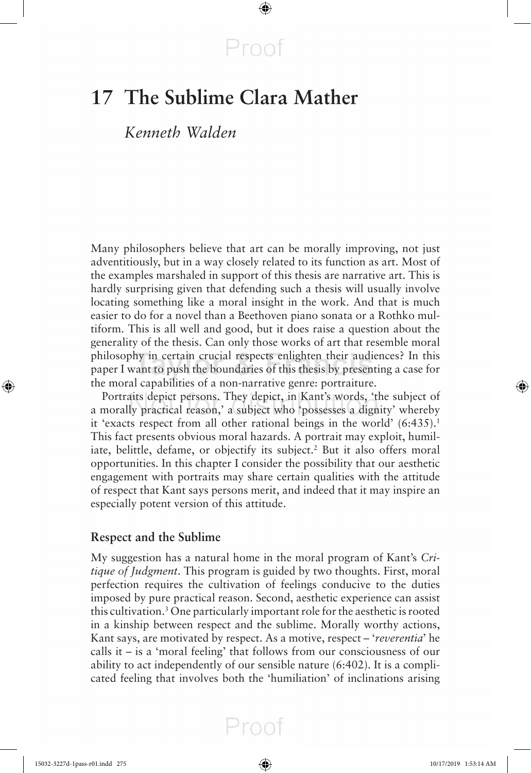$\bigoplus$ 

### **17 The Sublime Clara Mather**

*Kenneth Walden* 

 Many philosophers believe that art can be morally improving, not just adventitiously, but in a way closely related to its function as art. Most of the examples marshaled in support of this thesis are narrative art. This is hardly surprising given that defending such a thesis will usually involve locating something like a moral insight in the work. And that is much easier to do for a novel than a Beethoven piano sonata or a Rothko multiform. This is all well and good, but it does raise a question about the generality of the thesis. Can only those works of art that resemble moral philosophy in certain crucial respects enlighten their audiences? In this paper I want to push the boundaries of this thesis by presenting a case for the moral capabilities of a non-narrative genre: portraiture.

 Portraits depict persons. They depict, in Kant's words, 'the subject of a morally practical reason,' a subject who 'possesses a dignity' whereby it 'exacts respect from all other rational beings in the world' (6:435).<sup>1</sup> This fact presents obvious moral hazards. A portrait may exploit, humiliate, belittle, defame, or objectify its subject.<sup>2</sup> But it also offers moral opportunities. In this chapter I consider the possibility that our aesthetic engagement with portraits may share certain qualities with the attitude of respect that Kant says persons merit, and indeed that it may inspire an especially potent version of this attitude.

#### **Respect and the Sublime**

 My suggestion has a natural home in the moral program of Kant's *Critique of Judgment*. This program is guided by two thoughts. First, moral perfection requires the cultivation of feelings conducive to the duties imposed by pure practical reason. Second, aesthetic experience can assist this cultivation. 3 One particularly important role for the aesthetic is rooted in a kinship between respect and the sublime. Morally worthy actions, Kant says, are motivated by respect. As a motive, respect – ' *reverentia* ' he calls it – is a 'moral feeling' that follows from our consciousness of our ability to act independently of our sensible nature (6:402). It is a complicated feeling that involves both the 'humiliation' of inclinations arising

⊕

⊕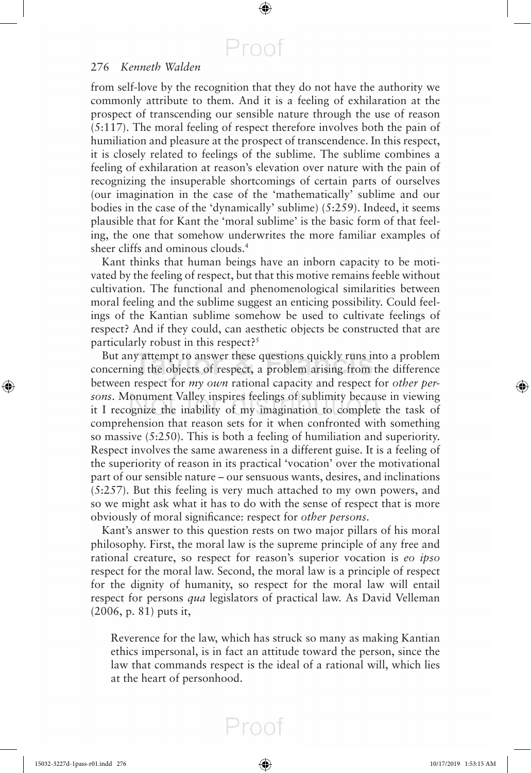$\bigoplus$ 

#### 276 *Kenneth Walden*

from self-love by the recognition that they do not have the authority we commonly attribute to them. And it is a feeling of exhilaration at the prospect of transcending our sensible nature through the use of reason (5:117). The moral feeling of respect therefore involves both the pain of humiliation and pleasure at the prospect of transcendence. In this respect, it is closely related to feelings of the sublime. The sublime combines a feeling of exhilaration at reason's elevation over nature with the pain of recognizing the insuperable shortcomings of certain parts of ourselves (our imagination in the case of the 'mathematically' sublime and our bodies in the case of the 'dynamically' sublime) (5:259). Indeed, it seems plausible that for Kant the 'moral sublime' is the basic form of that feeling, the one that somehow underwrites the more familiar examples of sheer cliffs and ominous clouds. 4

 Kant thinks that human beings have an inborn capacity to be motivated by the feeling of respect, but that this motive remains feeble without cultivation. The functional and phenomenological similarities between moral feeling and the sublime suggest an enticing possibility. Could feelings of the Kantian sublime somehow be used to cultivate feelings of respect? And if they could, can aesthetic objects be constructed that are particularly robust in this respect?<sup>5</sup>

 But any attempt to answer these questions quickly runs into a problem concerning the objects of respect, a problem arising from the difference between respect for *my own* rational capacity and respect for *other persons* . Monument Valley inspires feelings of sublimity because in viewing it I recognize the inability of my imagination to complete the task of comprehension that reason sets for it when confronted with something so massive (5:250). This is both a feeling of humiliation and superiority. Respect involves the same awareness in a different guise. It is a feeling of the superiority of reason in its practical 'vocation' over the motivational part of our sensible nature – our sensuous wants, desires, and inclinations (5:257). But this feeling is very much attached to my own powers, and so we might ask what it has to do with the sense of respect that is more obviously of moral significance: respect for *other persons*.

 Kant's answer to this question rests on two major pillars of his moral philosophy. First, the moral law is the supreme principle of any free and rational creature, so respect for reason's superior vocation is *eo ipso* respect for the moral law. Second, the moral law is a principle of respect for the dignity of humanity, so respect for the moral law will entail respect for persons *qua* legislators of practical law. As David Velleman (2006 , p. 81) puts it,

 Reverence for the law, which has struck so many as making Kantian ethics impersonal, is in fact an attitude toward the person, since the law that commands respect is the ideal of a rational will, which lies at the heart of personhood.

⊕

⊕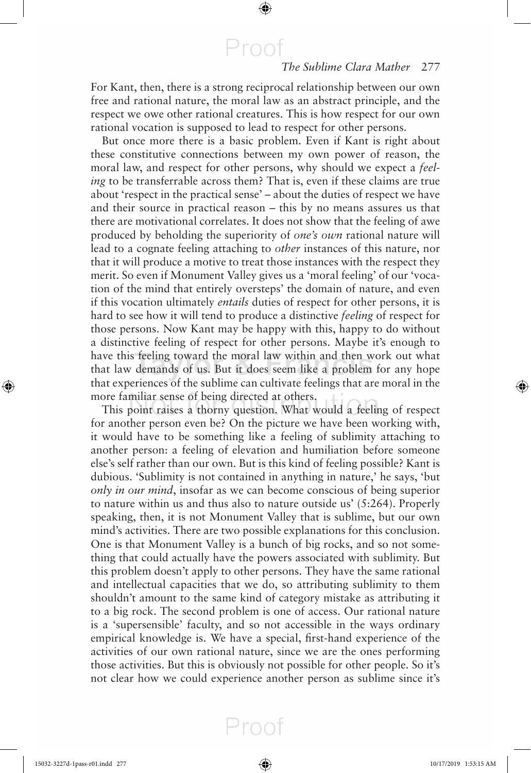⊕

#### *The Sublime Clara Mather* 277

 For Kant, then, there is a strong reciprocal relationship between our own free and rational nature, the moral law as an abstract principle, and the respect we owe other rational creatures. This is how respect for our own rational vocation is supposed to lead to respect for other persons.

 But once more there is a basic problem. Even if Kant is right about these constitutive connections between my own power of reason, the moral law, and respect for other persons, why should we expect a *feeling* to be transferrable across them? That is, even if these claims are true about 'respect in the practical sense' – about the duties of respect we have and their source in practical reason – this by no means assures us that there are motivational correlates. It does not show that the feeling of awe produced by beholding the superiority of *one's own* rational nature will lead to a cognate feeling attaching to *other* instances of this nature, nor that it will produce a motive to treat those instances with the respect they merit. So even if Monument Valley gives us a 'moral feeling' of our 'vocation of the mind that entirely oversteps' the domain of nature, and even if this vocation ultimately *entails* duties of respect for other persons, it is hard to see how it will tend to produce a distinctive *feeling* of respect for those persons. Now Kant may be happy with this, happy to do without a distinctive feeling of respect for other persons. Maybe it's enough to have this feeling toward the moral law within and then work out what that law demands of us. But it does seem like a problem for any hope that experiences of the sublime can cultivate feelings that are moral in the more familiar sense of being directed at others.

 This point raises a thorny question. What would a feeling of respect for another person even be? On the picture we have been working with, it would have to be something like a feeling of sublimity attaching to another person: a feeling of elevation and humiliation before someone else's self rather than our own. But is this kind of feeling possible? Kant is dubious. 'Sublimity is not contained in anything in nature,' he says, 'but *only in our mind*, insofar as we can become conscious of being superior to nature within us and thus also to nature outside us' (5:264). Properly speaking, then, it is not Monument Valley that is sublime, but our own mind's activities. There are two possible explanations for this conclusion. One is that Monument Valley is a bunch of big rocks, and so not something that could actually have the powers associated with sublimity. But this problem doesn't apply to other persons. They have the same rational and intellectual capacities that we do, so attributing sublimity to them shouldn't amount to the same kind of category mistake as attributing it to a big rock. The second problem is one of access. Our rational nature is a 'supersensible' faculty, and so not accessible in the ways ordinary empirical knowledge is. We have a special, first-hand experience of the activities of our own rational nature, since we are the ones performing those activities. But this is obviously not possible for other people. So it's not clear how we could experience another person as sublime since it's

⊕

⊕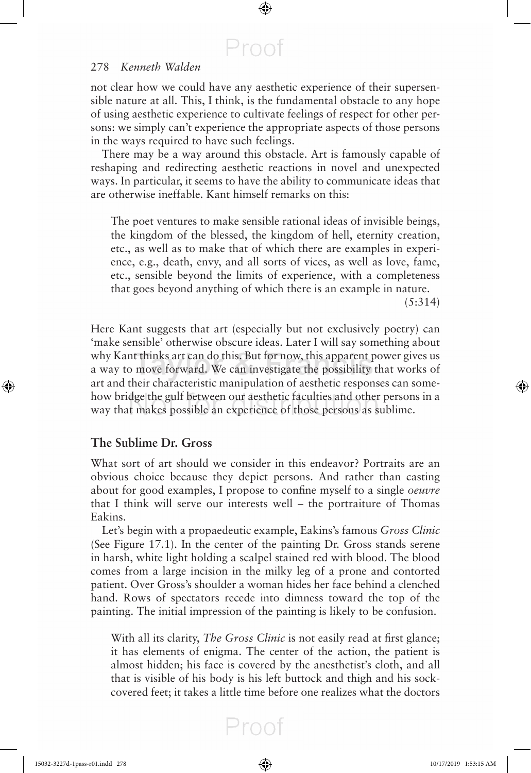⊕

#### 278 *Kenneth Walden*

not clear how we could have any aesthetic experience of their supersensible nature at all. This, I think, is the fundamental obstacle to any hope of using aesthetic experience to cultivate feelings of respect for other persons: we simply can't experience the appropriate aspects of those persons in the ways required to have such feelings.

 There may be a way around this obstacle. Art is famously capable of reshaping and redirecting aesthetic reactions in novel and unexpected ways. In particular, it seems to have the ability to communicate ideas that are otherwise ineffable. Kant himself remarks on this:

 The poet ventures to make sensible rational ideas of invisible beings, the kingdom of the blessed, the kingdom of hell, eternity creation, etc., as well as to make that of which there are examples in experience, e.g., death, envy, and all sorts of vices, as well as love, fame, etc., sensible beyond the limits of experience, with a completeness that goes beyond anything of which there is an example in nature.

(5:314)

⊕

 Here Kant suggests that art (especially but not exclusively poetry) can 'make sensible' otherwise obscure ideas. Later I will say something about why Kant thinks art can do this. But for now, this apparent power gives us a way to move forward. We can investigate the possibility that works of art and their characteristic manipulation of aesthetic responses can somehow bridge the gulf between our aesthetic faculties and other persons in a way that makes possible an experience of those persons as sublime.

#### **The Sublime Dr. Gross**

 What sort of art should we consider in this endeavor? Portraits are an obvious choice because they depict persons. And rather than casting about for good examples, I propose to confine myself to a single *oeuvre* that I think will serve our interests well – the portraiture of Thomas Eakins.

 Let's begin with a propaedeutic example, Eakins's famous *Gross Clinic* (See Figure 17.1 ). In the center of the painting Dr. Gross stands serene in harsh, white light holding a scalpel stained red with blood. The blood comes from a large incision in the milky leg of a prone and contorted patient. Over Gross's shoulder a woman hides her face behind a clenched hand. Rows of spectators recede into dimness toward the top of the painting. The initial impression of the painting is likely to be confusion.

With all its clarity, *The Gross Clinic* is not easily read at first glance; it has elements of enigma. The center of the action, the patient is almost hidden; his face is covered by the anesthetist's cloth, and all that is visible of his body is his left buttock and thigh and his sockcovered feet; it takes a little time before one realizes what the doctors

⊕

Proot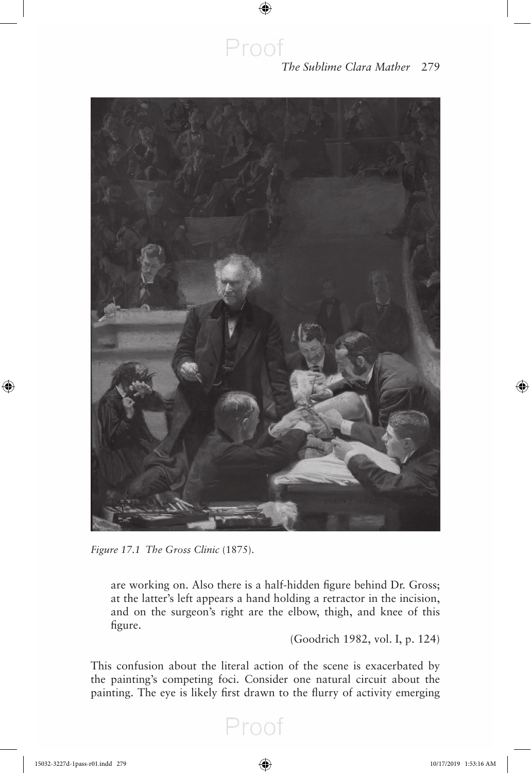



 $\bigoplus$ 

*Figure 17.1 The Gross Clinic* (1875).

are working on. Also there is a half-hidden figure behind Dr. Gross; at the latter's left appears a hand holding a retractor in the incision, and on the surgeon's right are the elbow, thigh, and knee of this figure.

(Goodrich 1982, vol. I, p. 124)

 This confusion about the literal action of the scene is exacerbated by the painting's competing foci. Consider one natural circuit about the painting. The eye is likely first drawn to the flurry of activity emerging

⊕

⊕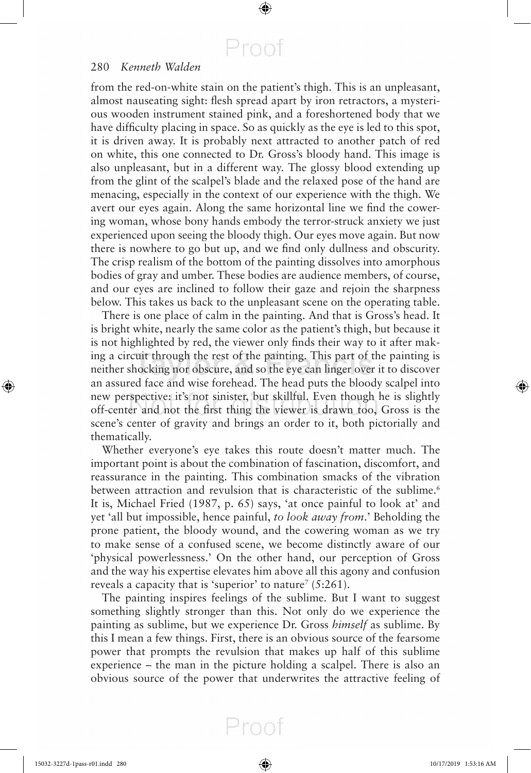$\bigoplus$ 

#### 280 *Kenneth Walden*

from the red-on-white stain on the patient's thigh. This is an unpleasant, almost nauseating sight: flesh spread apart by iron retractors, a mysterious wooden instrument stained pink, and a foreshortened body that we have difficulty placing in space. So as quickly as the eye is led to this spot, it is driven away. It is probably next attracted to another patch of red on white, this one connected to Dr. Gross's bloody hand. This image is also unpleasant, but in a different way. The glossy blood extending up from the glint of the scalpel's blade and the relaxed pose of the hand are menacing, especially in the context of our experience with the thigh. We avert our eyes again. Along the same horizontal line we find the cowering woman, whose bony hands embody the terror-struck anxiety we just experienced upon seeing the bloody thigh. Our eyes move again. But now there is nowhere to go but up, and we find only dullness and obscurity. The crisp realism of the bottom of the painting dissolves into amorphous bodies of gray and umber. These bodies are audience members, of course, and our eyes are inclined to follow their gaze and rejoin the sharpness below. This takes us back to the unpleasant scene on the operating table.

 There is one place of calm in the painting. And that is Gross's head. It is bright white, nearly the same color as the patient's thigh, but because it is not highlighted by red, the viewer only finds their way to it after making a circuit through the rest of the painting. This part of the painting is neither shocking nor obscure, and so the eye can linger over it to discover an assured face and wise forehead. The head puts the bloody scalpel into new perspective: it's not sinister, but skillful. Even though he is slightly off-center and not the first thing the viewer is drawn too, Gross is the scene's center of gravity and brings an order to it, both pictorially and thematically.

 Whether everyone's eye takes this route doesn't matter much. The important point is about the combination of fascination, discomfort, and reassurance in the painting. This combination smacks of the vibration between attraction and revulsion that is characteristic of the sublime.<sup>6</sup> It is, Michael Fried (1987, p. 65) says, 'at once painful to look at' and yet 'all but impossible, hence painful, *to look away from* .' Beholding the prone patient, the bloody wound, and the cowering woman as we try to make sense of a confused scene, we become distinctly aware of our 'physical powerlessness.' On the other hand, our perception of Gross and the way his expertise elevates him above all this agony and confusion reveals a capacity that is 'superior' to nature<sup>7</sup> (5:261).

 The painting inspires feelings of the sublime. But I want to suggest something slightly stronger than this. Not only do we experience the painting as sublime, but we experience Dr. Gross *himself* as sublime. By this I mean a few things. First, there is an obvious source of the fearsome power that prompts the revulsion that makes up half of this sublime experience – the man in the picture holding a scalpel. There is also an obvious source of the power that underwrites the attractive feeling of

⊕

⊕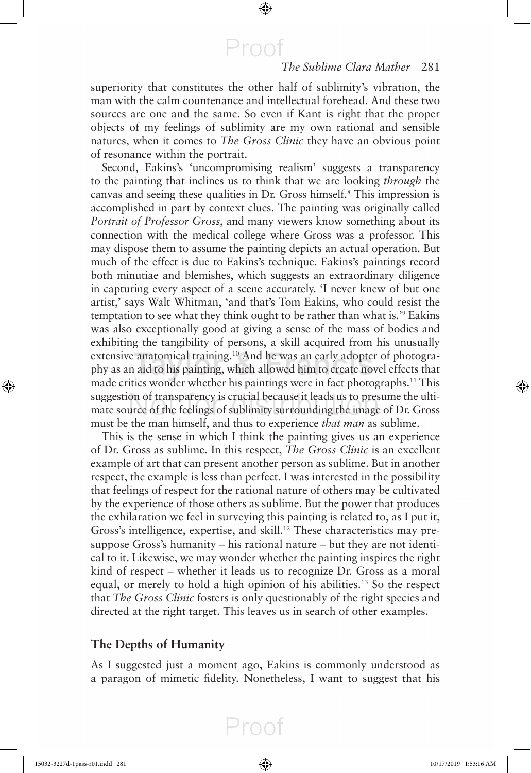$\bigoplus$ 

#### *The Sublime Clara Mather* 281

superiority that constitutes the other half of sublimity's vibration, the man with the calm countenance and intellectual forehead. And these two sources are one and the same. So even if Kant is right that the proper objects of my feelings of sublimity are my own rational and sensible natures, when it comes to *The Gross Clinic* they have an obvious point of resonance within the portrait.

 Second, Eakins's 'uncompromising realism' suggests a transparency to the painting that inclines us to think that we are looking *through* the canvas and seeing these qualities in Dr. Gross himself. 8 This impression is accomplished in part by context clues. The painting was originally called *Portrait of Professor Gross* , and many viewers know something about its connection with the medical college where Gross was a professor. This may dispose them to assume the painting depicts an actual operation. But much of the effect is due to Eakins's technique. Eakins's paintings record both minutiae and blemishes, which suggests an extraordinary diligence in capturing every aspect of a scene accurately. 'I never knew of but one artist,' says Walt Whitman, 'and that's Tom Eakins, who could resist the temptation to see what they think ought to be rather than what is.'<sup>9</sup> Eakins was also exceptionally good at giving a sense of the mass of bodies and exhibiting the tangibility of persons, a skill acquired from his unusually extensive anatomical training.<sup>10</sup> And he was an early adopter of photography as an aid to his painting, which allowed him to create novel effects that made critics wonder whether his paintings were in fact photographs. 11 This suggestion of transparency is crucial because it leads us to presume the ultimate source of the feelings of sublimity surrounding the image of Dr. Gross must be the man himself, and thus to experience *that man* as sublime.

 This is the sense in which I think the painting gives us an experience of Dr. Gross as sublime. In this respect, *The Gross Clinic* is an excellent example of art that can present another person as sublime. But in another respect, the example is less than perfect. I was interested in the possibility that feelings of respect for the rational nature of others may be cultivated by the experience of those others as sublime. But the power that produces the exhilaration we feel in surveying this painting is related to, as I put it, Gross's intelligence, expertise, and skill.<sup>12</sup> These characteristics may presuppose Gross's humanity – his rational nature – but they are not identical to it. Likewise, we may wonder whether the painting inspires the right kind of respect – whether it leads us to recognize Dr. Gross as a moral equal, or merely to hold a high opinion of his abilities. 13 So the respect that *The Gross Clinic* fosters is only questionably of the right species and directed at the right target. This leaves us in search of other examples.

#### **The Depths of Humanity**

 As I suggested just a moment ago, Eakins is commonly understood as a paragon of mimetic fidelity. Nonetheless, I want to suggest that his

⊕

⊕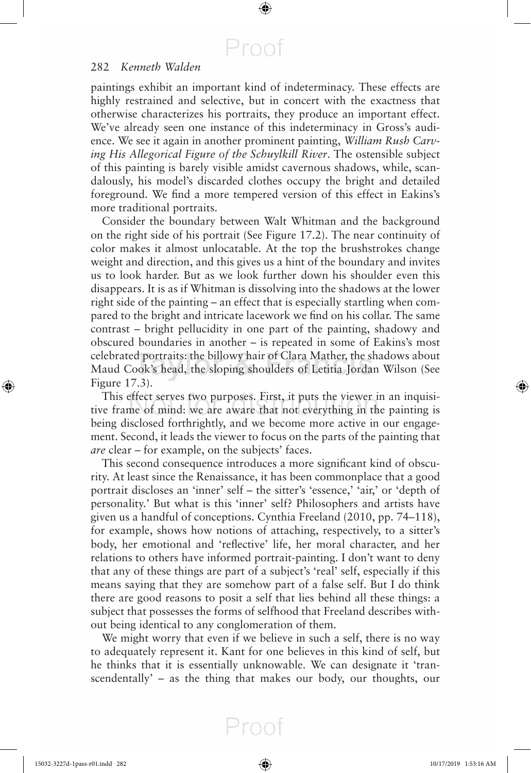$\bigoplus$ 

#### 282 *Kenneth Walden*

paintings exhibit an important kind of indeterminacy. These effects are highly restrained and selective, but in concert with the exactness that otherwise characterizes his portraits, they produce an important effect. We've already seen one instance of this indeterminacy in Gross's audience. We see it again in another prominent painting, *William Rush Carv*ing His Allegorical Figure of the Schuylkill River. The ostensible subject of this painting is barely visible amidst cavernous shadows, while, scandalously, his model's discarded clothes occupy the bright and detailed foreground. We find a more tempered version of this effect in Eakins's more traditional portraits.

 Consider the boundary between Walt Whitman and the background on the right side of his portrait (See Figure 17.2 ). The near continuity of color makes it almost unlocatable. At the top the brushstrokes change weight and direction, and this gives us a hint of the boundary and invites us to look harder. But as we look further down his shoulder even this disappears. It is as if Whitman is dissolving into the shadows at the lower right side of the painting – an effect that is especially startling when compared to the bright and intricate lacework we find on his collar. The same contrast – bright pellucidity in one part of the painting, shadowy and obscured boundaries in another – is repeated in some of Eakins's most celebrated portraits: the billowy hair of Clara Mather, the shadows about Maud Cook's head, the sloping shoulders of Letitia Jordan Wilson (See Figure 17.3 ).

 This effect serves two purposes. First, it puts the viewer in an inquisitive frame of mind: we are aware that not everything in the painting is being disclosed forthrightly, and we become more active in our engagement. Second, it leads the viewer to focus on the parts of the painting that *are* clear – for example, on the subjects' faces.

This second consequence introduces a more significant kind of obscurity. At least since the Renaissance, it has been commonplace that a good portrait discloses an 'inner' self – the sitter's 'essence,' 'air,' or 'depth of personality.' But what is this 'inner' self? Philosophers and artists have given us a handful of conceptions. Cynthia Freeland (2010, pp. 74–118), for example, shows how notions of attaching, respectively, to a sitter's body, her emotional and 'reflective' life, her moral character, and her relations to others have informed portrait-painting. I don't want to deny that any of these things are part of a subject's 'real' self, especially if this means saying that they are somehow part of a false self. But I do think there are good reasons to posit a self that lies behind all these things: a subject that possesses the forms of selfhood that Freeland describes without being identical to any conglomeration of them.

 We might worry that even if we believe in such a self, there is no way to adequately represent it. Kant for one believes in this kind of self, but he thinks that it is essentially unknowable. We can designate it 'transcendentally' – as the thing that makes our body, our thoughts, our

⊕

⊕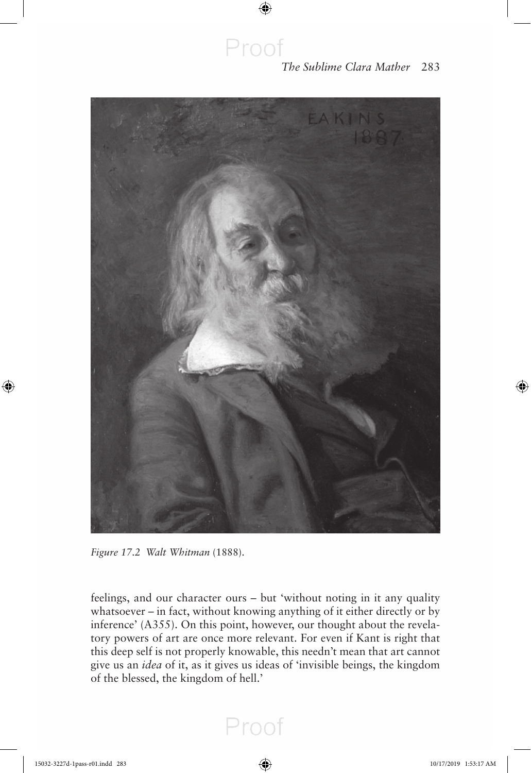



 $\bigoplus$ 

*Figure 17.2 Walt Whitman* (1888).

feelings, and our character ours – but 'without noting in it any quality whatsoever – in fact, without knowing anything of it either directly or by inference' (A355). On this point, however, our thought about the revelatory powers of art are once more relevant. For even if Kant is right that this deep self is not properly knowable, this needn't mean that art cannot give us an *idea* of it, as it gives us ideas of 'invisible beings, the kingdom of the blessed, the kingdom of hell.'

⊕

⊕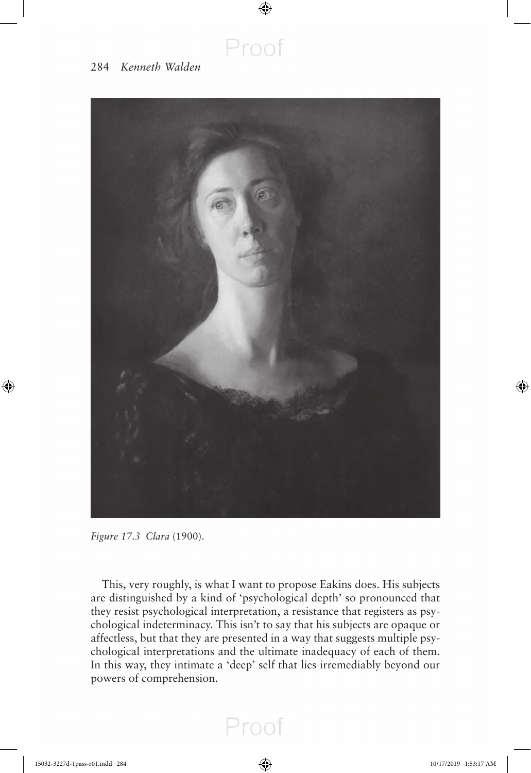$\bigoplus$ 

#### 284 *Kenneth Walden*





 This, very roughly, is what I want to propose Eakins does. His subjects are distinguished by a kind of 'psychological depth' so pronounced that they resist psychological interpretation, a resistance that registers as psychological indeterminacy. This isn't to say that his subjects are opaque or affectless, but that they are presented in a way that suggests multiple psychological interpretations and the ultimate inadequacy of each of them. In this way, they intimate a 'deep' self that lies irremediably beyond our powers of comprehension.

⊕

⊕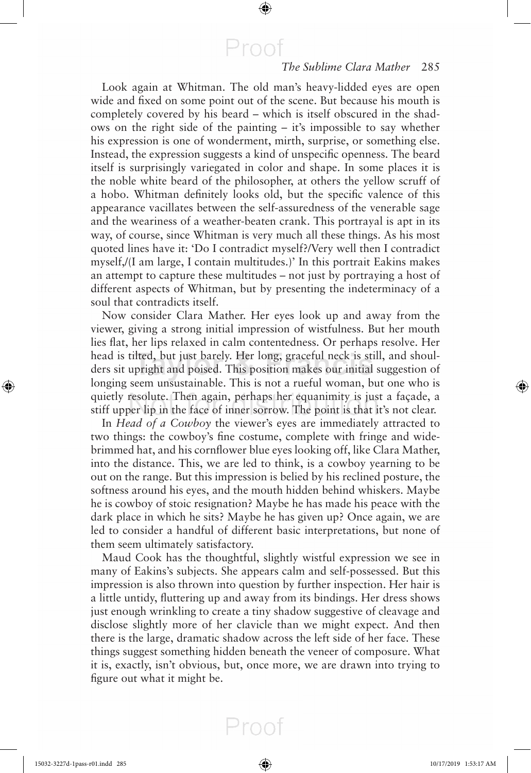$\bigoplus$ 

#### *The Sublime Clara Mather* 285

 Look again at Whitman. The old man's heavy-lidded eyes are open wide and fixed on some point out of the scene. But because his mouth is completely covered by his beard – which is itself obscured in the shadows on the right side of the painting – it's impossible to say whether his expression is one of wonderment, mirth, surprise, or something else. Instead, the expression suggests a kind of unspecific openness. The beard itself is surprisingly variegated in color and shape. In some places it is the noble white beard of the philosopher, at others the yellow scruff of a hobo. Whitman definitely looks old, but the specific valence of this appearance vacillates between the self-assuredness of the venerable sage and the weariness of a weather-beaten crank. This portrayal is apt in its way, of course, since Whitman is very much all these things. As his most quoted lines have it: 'Do I contradict myself?/Very well then I contradict myself,/(I am large, I contain multitudes.)' In this portrait Eakins makes an attempt to capture these multitudes – not just by portraying a host of different aspects of Whitman, but by presenting the indeterminacy of a soul that contradicts itself.

 Now consider Clara Mather. Her eyes look up and away from the viewer, giving a strong initial impression of wistfulness. But her mouth lies flat, her lips relaxed in calm contentedness. Or perhaps resolve. Her head is tilted, but just barely. Her long, graceful neck is still, and shoulders sit upright and poised. This position makes our initial suggestion of longing seem unsustainable. This is not a rueful woman, but one who is quietly resolute. Then again, perhaps her equanimity is just a façade, a stiff upper lip in the face of inner sorrow. The point is that it's not clear.

 In *Head of a Cowboy* the viewer's eyes are immediately attracted to two things: the cowboy's fine costume, complete with fringe and widebrimmed hat, and his cornflower blue eyes looking off, like Clara Mather, into the distance. This, we are led to think, is a cowboy yearning to be out on the range. But this impression is belied by his reclined posture, the softness around his eyes, and the mouth hidden behind whiskers. Maybe he is cowboy of stoic resignation? Maybe he has made his peace with the dark place in which he sits? Maybe he has given up? Once again, we are led to consider a handful of different basic interpretations, but none of them seem ultimately satisfactory.

 Maud Cook has the thoughtful, slightly wistful expression we see in many of Eakins's subjects. She appears calm and self-possessed. But this impression is also thrown into question by further inspection. Her hair is a little untidy, fluttering up and away from its bindings. Her dress shows just enough wrinkling to create a tiny shadow suggestive of cleavage and disclose slightly more of her clavicle than we might expect. And then there is the large, dramatic shadow across the left side of her face. These things suggest something hidden beneath the veneer of composure. What it is, exactly, isn't obvious, but, once more, we are drawn into trying to figure out what it might be.

⊕

⊕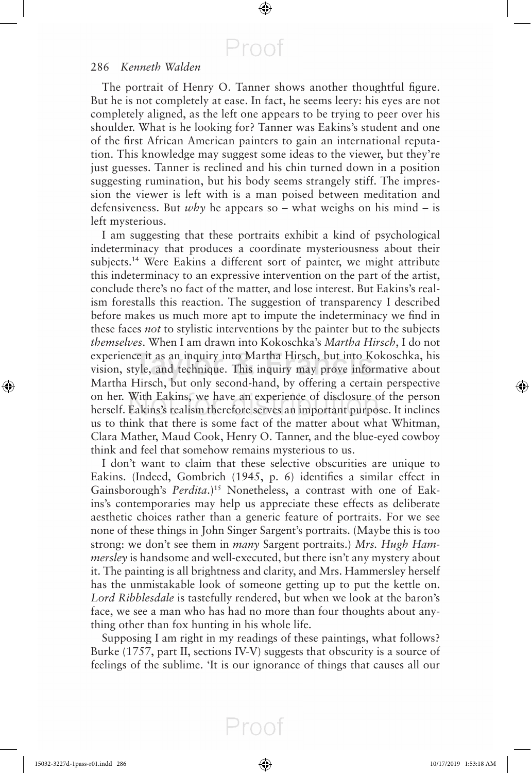⊕

#### 286 *Kenneth Walden*

The portrait of Henry O. Tanner shows another thoughtful figure. But he is not completely at ease. In fact, he seems leery: his eyes are not completely aligned, as the left one appears to be trying to peer over his shoulder. What is he looking for? Tanner was Eakins's student and one of the first African American painters to gain an international reputation. This knowledge may suggest some ideas to the viewer, but they're just guesses. Tanner is reclined and his chin turned down in a position suggesting rumination, but his body seems strangely stiff. The impression the viewer is left with is a man poised between meditation and defensiveness. But *why* he appears so – what weighs on his mind – is left mysterious.

 I am suggesting that these portraits exhibit a kind of psychological indeterminacy that produces a coordinate mysteriousness about their subjects.<sup>14</sup> Were Eakins a different sort of painter, we might attribute this indeterminacy to an expressive intervention on the part of the artist, conclude there's no fact of the matter, and lose interest. But Eakins's realism forestalls this reaction. The suggestion of transparency I described before makes us much more apt to impute the indeterminacy we find in these faces *not* to stylistic interventions by the painter but to the subjects *themselves* . When I am drawn into Kokoschka's *Martha Hirsch* , I do not experience it as an inquiry into Martha Hirsch, but into Kokoschka, his vision, style, and technique. This inquiry may prove informative about Martha Hirsch, but only second-hand, by offering a certain perspective on her. With Eakins, we have an experience of disclosure of the person herself. Eakins's realism therefore serves an important purpose. It inclines us to think that there is some fact of the matter about what Whitman, Clara Mather, Maud Cook, Henry O. Tanner, and the blue-eyed cowboy think and feel that somehow remains mysterious to us.

 I don't want to claim that these selective obscurities are unique to Eakins. (Indeed, Gombrich (1945, p. 6) identifies a similar effect in Gainsborough's *Perdita*.)<sup>15</sup> Nonetheless, a contrast with one of Eakins's contemporaries may help us appreciate these effects as deliberate aesthetic choices rather than a generic feature of portraits. For we see none of these things in John Singer Sargent's portraits. (Maybe this is too strong: we don't see them in *many* Sargent portraits.) *Mrs. Hugh Hammersley* is handsome and well-executed, but there isn't any mystery about it. The painting is all brightness and clarity, and Mrs. Hammersley herself has the unmistakable look of someone getting up to put the kettle on. *Lord Ribblesdale* is tastefully rendered, but when we look at the baron's face, we see a man who has had no more than four thoughts about anything other than fox hunting in his whole life.

 Supposing I am right in my readings of these paintings, what follows? Burke (1757, part II, sections IV-V) suggests that obscurity is a source of feelings of the sublime. 'It is our ignorance of things that causes all our

⊕

⊕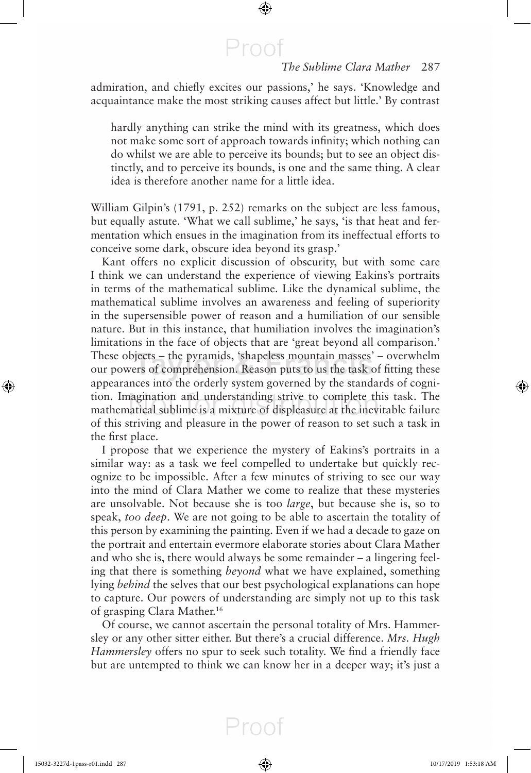⊕

#### *The Sublime Clara Mather* 287

admiration, and chiefly excites our passions,' he says. 'Knowledge and acquaintance make the most striking causes affect but little.' By contrast

 hardly anything can strike the mind with its greatness, which does not make some sort of approach towards infinity; which nothing can do whilst we are able to perceive its bounds; but to see an object distinctly, and to perceive its bounds, is one and the same thing. A clear idea is therefore another name for a little idea.

William Gilpin's (1791, p. 252) remarks on the subject are less famous, but equally astute. 'What we call sublime,' he says, 'is that heat and fermentation which ensues in the imagination from its ineffectual efforts to conceive some dark, obscure idea beyond its grasp.'

 Kant offers no explicit discussion of obscurity, but with some care I think we can understand the experience of viewing Eakins's portraits in terms of the mathematical sublime. Like the dynamical sublime, the mathematical sublime involves an awareness and feeling of superiority in the supersensible power of reason and a humiliation of our sensible nature. But in this instance, that humiliation involves the imagination's limitations in the face of objects that are 'great beyond all comparison.' These objects – the pyramids, 'shapeless mountain masses' – overwhelm our powers of comprehension. Reason puts to us the task of fitting these appearances into the orderly system governed by the standards of cognition. Imagination and understanding strive to complete this task. The mathematical sublime is a mixture of displeasure at the inevitable failure of this striving and pleasure in the power of reason to set such a task in the first place.

 I propose that we experience the mystery of Eakins's portraits in a similar way: as a task we feel compelled to undertake but quickly recognize to be impossible. After a few minutes of striving to see our way into the mind of Clara Mather we come to realize that these mysteries are unsolvable. Not because she is too *large* , but because she is, so to speak, *too deep*. We are not going to be able to ascertain the totality of this person by examining the painting. Even if we had a decade to gaze on the portrait and entertain evermore elaborate stories about Clara Mather and who she is, there would always be some remainder – a lingering feeling that there is something *beyond* what we have explained, something lying *behind* the selves that our best psychological explanations can hope to capture. Our powers of understanding are simply not up to this task of grasping Clara Mather. 16

 Of course, we cannot ascertain the personal totality of Mrs. Hammersley or any other sitter either. But there's a crucial difference. *Mrs. Hugh Hammersley* offers no spur to seek such totality. We find a friendly face but are untempted to think we can know her in a deeper way; it's just a

⊕

⊕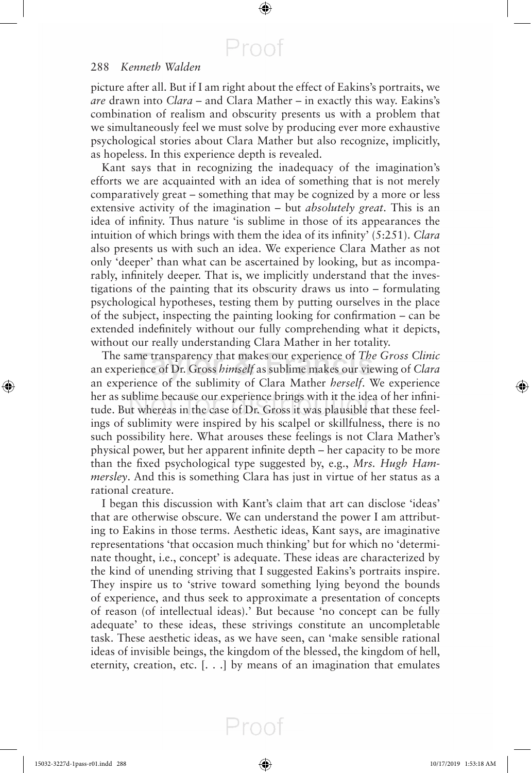⊕

#### 288 *Kenneth Walden*

picture after all. But if I am right about the effect of Eakins's portraits, we *are* drawn into *Clara* – and Clara Mather – in exactly this way. Eakins's combination of realism and obscurity presents us with a problem that we simultaneously feel we must solve by producing ever more exhaustive psychological stories about Clara Mather but also recognize, implicitly, as hopeless. In this experience depth is revealed.

 Kant says that in recognizing the inadequacy of the imagination's efforts we are acquainted with an idea of something that is not merely comparatively great – something that may be cognized by a more or less extensive activity of the imagination – but *absolutely great*. This is an idea of infinity. Thus nature 'is sublime in those of its appearances the intuition of which brings with them the idea of its infinity' (5:251). *Clara* also presents us with such an idea. We experience Clara Mather as not only 'deeper' than what can be ascertained by looking, but as incomparably, infinitely deeper. That is, we implicitly understand that the investigations of the painting that its obscurity draws us into – formulating psychological hypotheses, testing them by putting ourselves in the place of the subject, inspecting the painting looking for confirmation – can be extended indefinitely without our fully comprehending what it depicts, without our really understanding Clara Mather in her totality.

 The same transparency that makes our experience of *The Gross Clinic* an experience of Dr. Gross *himself* as sublime makes our viewing of *Clara* an experience of the sublimity of Clara Mather *herself* . We experience her as sublime because our experience brings with it the idea of her infinitude. But whereas in the case of Dr. Gross it was plausible that these feelings of sublimity were inspired by his scalpel or skillfulness, there is no such possibility here. What arouses these feelings is not Clara Mather's physical power, but her apparent infinite depth – her capacity to be more than the fixed psychological type suggested by, e.g., *Mrs. Hugh Hammersley*. And this is something Clara has just in virtue of her status as a rational creature.

 I began this discussion with Kant's claim that art can disclose 'ideas' that are otherwise obscure. We can understand the power I am attributing to Eakins in those terms. Aesthetic ideas, Kant says, are imaginative representations 'that occasion much thinking' but for which no 'determinate thought, i.e., concept' is adequate. These ideas are characterized by the kind of unending striving that I suggested Eakins's portraits inspire. They inspire us to 'strive toward something lying beyond the bounds of experience, and thus seek to approximate a presentation of concepts of reason (of intellectual ideas).' But because 'no concept can be fully adequate' to these ideas, these strivings constitute an uncompletable task. These aesthetic ideas, as we have seen, can 'make sensible rational ideas of invisible beings, the kingdom of the blessed, the kingdom of hell, eternity, creation, etc.  $[ \ldots ]$  by means of an imagination that emulates

⊕

⊕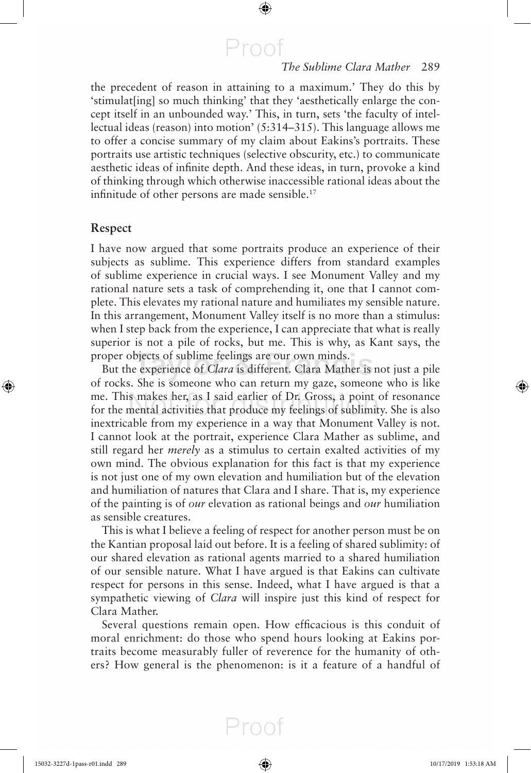⊕

#### *The Sublime Clara Mather* 289

the precedent of reason in attaining to a maximum.' They do this by 'stimulat[ing] so much thinking' that they 'aesthetically enlarge the concept itself in an unbounded way.' This, in turn, sets 'the faculty of intellectual ideas (reason) into motion' (5:314–315). This language allows me to offer a concise summary of my claim about Eakins's portraits. These portraits use artistic techniques (selective obscurity, etc.) to communicate aesthetic ideas of infinite depth. And these ideas, in turn, provoke a kind of thinking through which otherwise inaccessible rational ideas about the infinitude of other persons are made sensible.<sup>17</sup>

#### **Respect**

⊕

 I have now argued that some portraits produce an experience of their subjects as sublime. This experience differs from standard examples of sublime experience in crucial ways. I see Monument Valley and my rational nature sets a task of comprehending it, one that I cannot complete. This elevates my rational nature and humiliates my sensible nature. In this arrangement, Monument Valley itself is no more than a stimulus: when I step back from the experience, I can appreciate that what is really superior is not a pile of rocks, but me. This is why, as Kant says, the proper objects of sublime feelings are our own minds.

 But the experience of *Clara* is different. Clara Mather is not just a pile of rocks. She is someone who can return my gaze, someone who is like me. This makes her, as I said earlier of Dr. Gross, a point of resonance for the mental activities that produce my feelings of sublimity. She is also inextricable from my experience in a way that Monument Valley is not. I cannot look at the portrait, experience Clara Mather as sublime, and still regard her *merely* as a stimulus to certain exalted activities of my own mind. The obvious explanation for this fact is that my experience is not just one of my own elevation and humiliation but of the elevation and humiliation of natures that Clara and I share. That is, my experience of the painting is of *our* elevation as rational beings and *our* humiliation as sensible creatures.

 This is what I believe a feeling of respect for another person must be on the Kantian proposal laid out before. It is a feeling of shared sublimity: of our shared elevation as rational agents married to a shared humiliation of our sensible nature. What I have argued is that Eakins can cultivate respect for persons in this sense. Indeed, what I have argued is that a sympathetic viewing of *Clara* will inspire just this kind of respect for Clara Mather.

Several questions remain open. How efficacious is this conduit of moral enrichment: do those who spend hours looking at Eakins portraits become measurably fuller of reverence for the humanity of others? How general is the phenomenon: is it a feature of a handful of ↔

Proot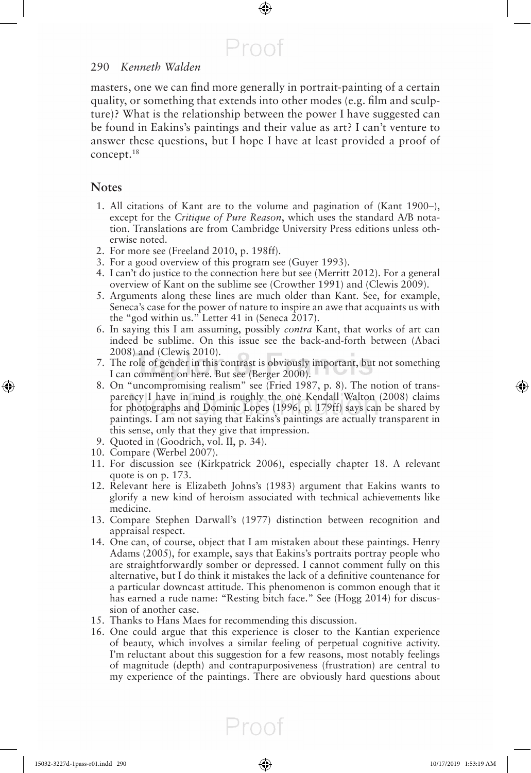⊕

#### 290 *Kenneth Walden*

masters, one we can find more generally in portrait-painting of a certain quality, or something that extends into other modes (e.g. film and sculpture)? What is the relationship between the power I have suggested can be found in Eakins's paintings and their value as art? I can't venture to answer these questions, but I hope I have at least provided a proof of concept. 18

#### **Notes**

⊕

- 1. All citations of Kant are to the volume and pagination of (Kant 1900–), except for the *Critique of Pure Reason*, which uses the standard A/B notation. Translations are from Cambridge University Press editions unless otherwise noted.
- 2. For more see (Freeland 2010, p. 198ff).
- 3. For a good overview of this program see (Guyer 1993).
- 4. I can't do justice to the connection here but see ( Merritt 2012 ). For a general overview of Kant on the sublime see (Crowther 1991) and (Clewis 2009).
- 5. Arguments along these lines are much older than Kant. See, for example, Seneca's case for the power of nature to inspire an awe that acquaints us with the "god within us." Letter 41 in (Seneca  $2017$ ).
- 6. In saying this I am assuming, possibly *contra* Kant, that works of art can indeed be sublime. On this issue see the back-and-forth between ( Abaci 2008) and (Clewis 2010).
- 7. The role of gender in this contrast is obviously important, but not something I can comment on here. But see (Berger 2000).
- 8. On "uncompromising realism" see (Fried 1987, p. 8). The notion of transparency I have in mind is roughly the one Kendall Walton (2008) claims for photographs and Dominic Lopes (1996, p. 179ff) says can be shared by paintings. I am not saying that Eakins's paintings are actually transparent in this sense, only that they give that impression.
- 9. Quoted in (Goodrich, vol. II, p. 34).
- 10. Compare (Werbel 2007).
- 11. For discussion see (Kirkpatrick 2006), especially chapter 18. A relevant quote is on p. 173.
- 12. Relevant here is Elizabeth Johns's (1983 ) argument that Eakins wants to glorify a new kind of heroism associated with technical achievements like medicine.
- 13. Compare Stephen Darwall's (1977 ) distinction between recognition and appraisal respect.
- 14. One can, of course, object that I am mistaken about these paintings. Henry Adams (2005), for example, says that Eakins's portraits portray people who are straightforwardly somber or depressed. I cannot comment fully on this alternative, but I do think it mistakes the lack of a definitive countenance for a particular downcast attitude. This phenomenon is common enough that it has earned a rude name: "Resting bitch face." See (Hogg 2014) for discussion of another case.
- 15. Thanks to Hans Maes for recommending this discussion.
- 16. One could argue that this experience is closer to the Kantian experience of beauty, which involves a similar feeling of perpetual cognitive activity. I'm reluctant about this suggestion for a few reasons, most notably feelings of magnitude (depth) and contrapurposiveness (frustration) are central to my experience of the paintings. There are obviously hard questions about

↔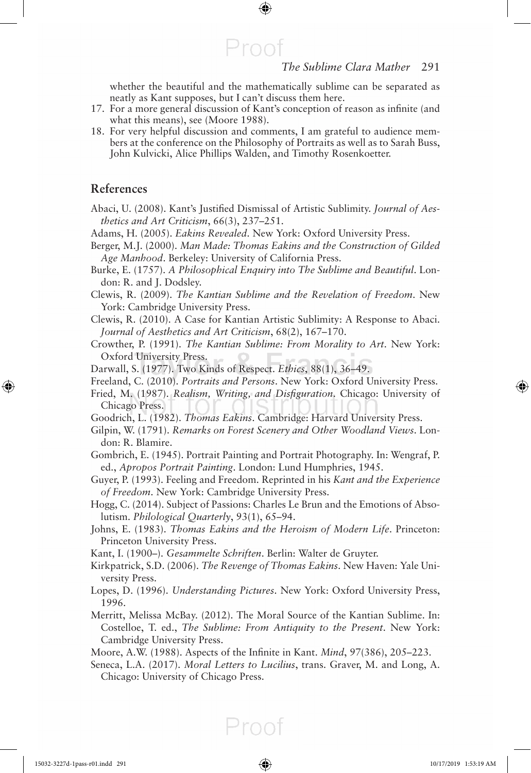#### *The Sublime Clara Mather* 291

whether the beautiful and the mathematically sublime can be separated as neatly as Kant supposes, but I can't discuss them here.

17. For a more general discussion of Kant's conception of reason as infinite (and what this means), see (Moore 1988).

⊕

Proof

 18. For very helpful discussion and comments, I am grateful to audience members at the conference on the Philosophy of Portraits as well as to Sarah Buss, John Kulvicki, Alice Phillips Walden, and Timothy Rosenkoetter.

#### **References**

Abaci, U. (2008). Kant's Justified Dismissal of Artistic Sublimity. *Journal of Aesthetics and Art Criticism* , 66(3), 237–251.

Adams, H. (2005). *Eakins Revealed*. New York: Oxford University Press.

 Berger, M.J. (2000). *Man Made: Thomas Eakins and the Construction of Gilded*  Age Manhood. Berkeley: University of California Press.

- Burke, E. (1757). *A Philosophical Enquiry into The Sublime and Beautiful* . London: R. and J. Dodsley.
- Clewis, R. (2009). *The Kantian Sublime and the Revelation of Freedom*. New York: Cambridge University Press.

 Clewis, R. (2010). A Case for Kantian Artistic Sublimity: A Response to Abaci. *Journal of Aesthetics and Art Criticism* , 68(2), 167–170.

- Crowther, P. (1991). *The Kantian Sublime: From Morality to Art*. New York: Oxford University Press.
- Darwall, S. (1977). Two Kinds of Respect. *Ethics* , 88(1), 36–49.

Freeland, C. (2010). *Portraits and Persons* . New York: Oxford University Press.

- Fried, M. (1987). *Realism, Writing, and Disfiguration*. Chicago: University of Chicago Press.
- Goodrich, L. (1982). *Thomas Eakins* . Cambridge: Harvard University Press.
- Gilpin, W. (1791). *Remarks on Forest Scenery and Other Woodland Views* . London: R. Blamire.
- Gombrich, E. (1945). Portrait Painting and Portrait Photography. In: Wengraf, P. ed., *Apropos Portrait Painting*. London: Lund Humphries, 1945.
- Guyer, P. (1993). Feeling and Freedom. Reprinted in his *Kant and the Experience*  of Freedom. New York: Cambridge University Press.

 Hogg, C. (2014). Subject of Passions: Charles Le Brun and the Emotions of Absolutism. *Philological Quarterly* , 93(1), 65–94.

- Johns, E. (1983). *Thomas Eakins and the Heroism of Modern Life*. Princeton: Princeton University Press.
- Kant, I. (1900–). *Gesammelte Schriften* . Berlin: Walter de Gruyter.
- Kirkpatrick, S.D. (2006). *The Revenge of Thomas Eakins* . New Haven: Yale University Press.
- Lopes, D. (1996). *Understanding Pictures* . New York: Oxford University Press, 1996.
- Merritt, Melissa McBay. (2012). The Moral Source of the Kantian Sublime. In: Costelloe, T. ed., *The Sublime: From Antiquity to the Present* . New York: Cambridge University Press.
- Moore, A.W. (1988). Aspects of the Infinite in Kant. *Mind*, 97(386), 205-223.

 Seneca, L.A. (2017). *Moral Letters to Lucilius* , trans. Graver, M. and Long, A. Chicago: University of Chicago Press.

⊕

⊕